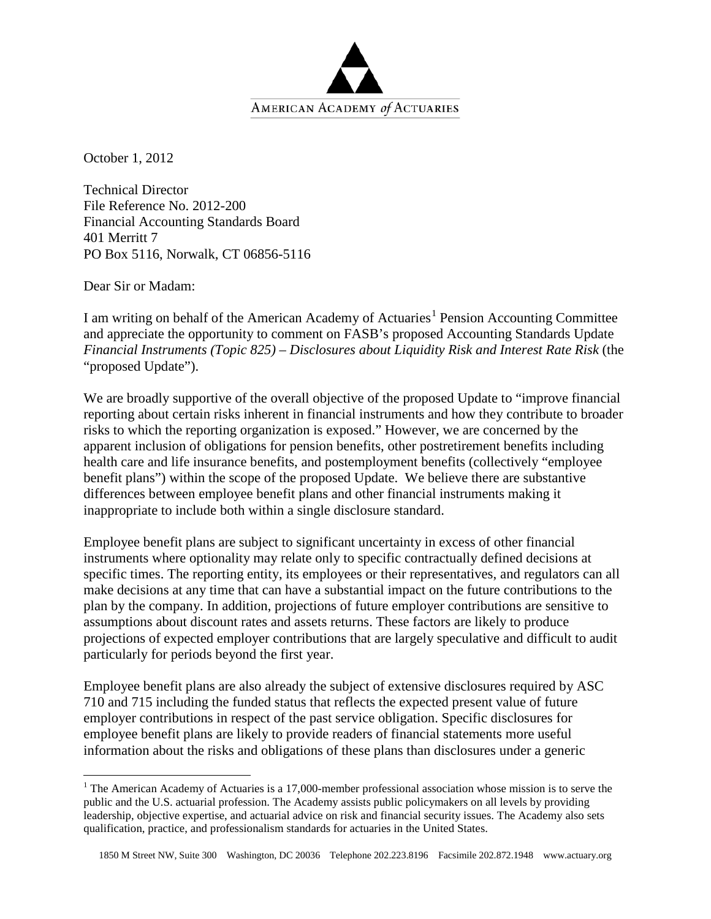

October 1, 2012

Technical Director File Reference No. 2012-200 Financial Accounting Standards Board 401 Merritt 7 PO Box 5116, Norwalk, CT 06856-5116

Dear Sir or Madam:

I am writing on behalf of the American Academy of Actuaries<sup>[1](#page-0-0)</sup> Pension Accounting Committee and appreciate the opportunity to comment on FASB's proposed Accounting Standards Update *Financial Instruments (Topic 825) – Disclosures about Liquidity Risk and Interest Rate Risk* (the "proposed Update").

We are broadly supportive of the overall objective of the proposed Update to "improve financial reporting about certain risks inherent in financial instruments and how they contribute to broader risks to which the reporting organization is exposed." However, we are concerned by the apparent inclusion of obligations for pension benefits, other postretirement benefits including health care and life insurance benefits, and postemployment benefits (collectively "employee benefit plans") within the scope of the proposed Update. We believe there are substantive differences between employee benefit plans and other financial instruments making it inappropriate to include both within a single disclosure standard.

Employee benefit plans are subject to significant uncertainty in excess of other financial instruments where optionality may relate only to specific contractually defined decisions at specific times. The reporting entity, its employees or their representatives, and regulators can all make decisions at any time that can have a substantial impact on the future contributions to the plan by the company. In addition, projections of future employer contributions are sensitive to assumptions about discount rates and assets returns. These factors are likely to produce projections of expected employer contributions that are largely speculative and difficult to audit particularly for periods beyond the first year.

Employee benefit plans are also already the subject of extensive disclosures required by ASC 710 and 715 including the funded status that reflects the expected present value of future employer contributions in respect of the past service obligation. Specific disclosures for employee benefit plans are likely to provide readers of financial statements more useful information about the risks and obligations of these plans than disclosures under a generic

<span id="page-0-0"></span><sup>&</sup>lt;sup>1</sup> The American Academy of Actuaries is a 17,000-member professional association whose mission is to serve the public and the U.S. actuarial profession. The Academy assists public policymakers on all levels by providing leadership, objective expertise, and actuarial advice on risk and financial security issues. The Academy also sets qualification, practice, and professionalism standards for actuaries in the United States.